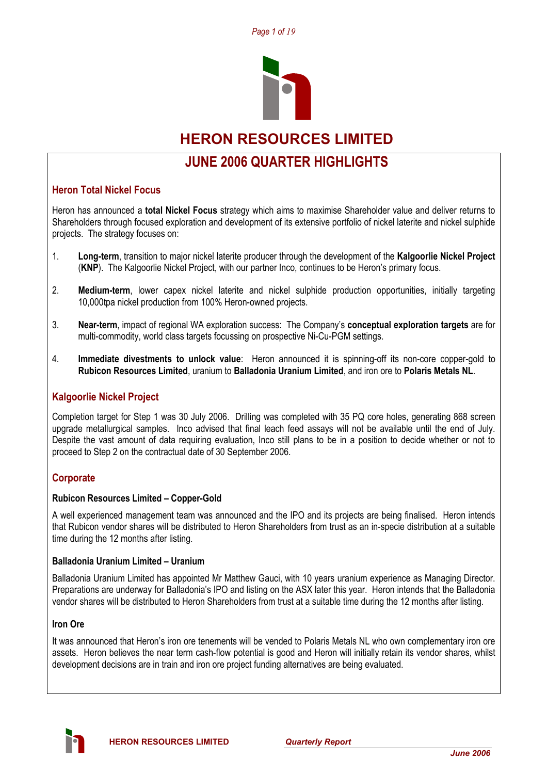



# **HERON RESOURCES LIMITED**

# **JUNE 2006 QUARTER HIGHLIGHTS**

# **Heron Total Nickel Focus**

Heron has announced a **total Nickel Focus** strategy which aims to maximise Shareholder value and deliver returns to Shareholders through focused exploration and development of its extensive portfolio of nickel laterite and nickel sulphide projects. The strategy focuses on:

- 1. **Long-term**, transition to major nickel laterite producer through the development of the **Kalgoorlie Nickel Project** (**KNP**). The Kalgoorlie Nickel Project, with our partner Inco, continues to be Heron's primary focus.
- 2. **Medium-term**, lower capex nickel laterite and nickel sulphide production opportunities, initially targeting 10,000tpa nickel production from 100% Heron-owned projects.
- 3. **Near-term**, impact of regional WA exploration success: The Company's **conceptual exploration targets** are for multi-commodity, world class targets focussing on prospective Ni-Cu-PGM settings.
- 4. **Immediate divestments to unlock value**: Heron announced it is spinning-off its non-core copper-gold to **Rubicon Resources Limited**, uranium to **Balladonia Uranium Limited**, and iron ore to **Polaris Metals NL**.

# **Kalgoorlie Nickel Project**

Completion target for Step 1 was 30 July 2006. Drilling was completed with 35 PQ core holes, generating 868 screen upgrade metallurgical samples. Inco advised that final leach feed assays will not be available until the end of July. Despite the vast amount of data requiring evaluation, Inco still plans to be in a position to decide whether or not to proceed to Step 2 on the contractual date of 30 September 2006.

# **Corporate**

#### **Rubicon Resources Limited – Copper-Gold**

A well experienced management team was announced and the IPO and its projects are being finalised. Heron intends that Rubicon vendor shares will be distributed to Heron Shareholders from trust as an in-specie distribution at a suitable time during the 12 months after listing.

#### **Balladonia Uranium Limited – Uranium**

Balladonia Uranium Limited has appointed Mr Matthew Gauci, with 10 years uranium experience as Managing Director. Preparations are underway for Balladonia's IPO and listing on the ASX later this year. Heron intends that the Balladonia vendor shares will be distributed to Heron Shareholders from trust at a suitable time during the 12 months after listing.

#### **Iron Ore**

It was announced that Heron's iron ore tenements will be vended to Polaris Metals NL who own complementary iron ore assets. Heron believes the near term cash-flow potential is good and Heron will initially retain its vendor shares, whilst development decisions are in train and iron ore project funding alternatives are being evaluated.

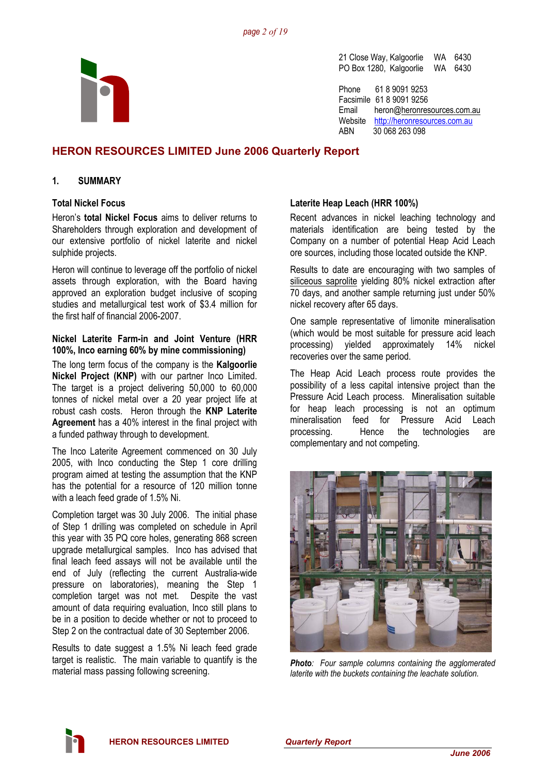

21 Close Way, Kalgoorlie WA 6430 PO Box 1280, Kalgoorlie WA 6430

Phone 61 8 9091 9253 Facsimile 61 8 9091 9256 Email heron@heronresources.com.au Website http://heronresources.com.au ABN 30 068 263 098

# **HERON RESOURCES LIMITED June 2006 Quarterly Report**

#### **1. SUMMARY**

#### **Total Nickel Focus**

Heron's **total Nickel Focus** aims to deliver returns to Shareholders through exploration and development of our extensive portfolio of nickel laterite and nickel sulphide projects.

Heron will continue to leverage off the portfolio of nickel assets through exploration, with the Board having approved an exploration budget inclusive of scoping studies and metallurgical test work of \$3.4 million for the first half of financial 2006-2007.

#### **Nickel Laterite Farm-in and Joint Venture (HRR 100%, Inco earning 60% by mine commissioning)**

The long term focus of the company is the **Kalgoorlie Nickel Project (KNP)** with our partner Inco Limited. The target is a project delivering 50,000 to 60,000 tonnes of nickel metal over a 20 year project life at robust cash costs. Heron through the **KNP Laterite Agreement** has a 40% interest in the final project with a funded pathway through to development.

The Inco Laterite Agreement commenced on 30 July 2005, with Inco conducting the Step 1 core drilling program aimed at testing the assumption that the KNP has the potential for a resource of 120 million tonne with a leach feed grade of 1.5% Ni.

Completion target was 30 July 2006. The initial phase of Step 1 drilling was completed on schedule in April this year with 35 PQ core holes, generating 868 screen upgrade metallurgical samples. Inco has advised that final leach feed assays will not be available until the end of July (reflecting the current Australia-wide pressure on laboratories), meaning the Step 1 completion target was not met. Despite the vast amount of data requiring evaluation, Inco still plans to be in a position to decide whether or not to proceed to Step 2 on the contractual date of 30 September 2006.

Results to date suggest a 1.5% Ni leach feed grade target is realistic. The main variable to quantify is the material mass passing following screening.

#### **Laterite Heap Leach (HRR 100%)**

Recent advances in nickel leaching technology and materials identification are being tested by the Company on a number of potential Heap Acid Leach ore sources, including those located outside the KNP.

Results to date are encouraging with two samples of siliceous saprolite yielding 80% nickel extraction after 70 days, and another sample returning just under 50% nickel recovery after 65 days.

One sample representative of limonite mineralisation (which would be most suitable for pressure acid leach processing) yielded approximately 14% nickel recoveries over the same period.

The Heap Acid Leach process route provides the possibility of a less capital intensive project than the Pressure Acid Leach process. Mineralisation suitable for heap leach processing is not an optimum mineralisation feed for Pressure Acid Leach processing. Hence the technologies are complementary and not competing.



*Photo: Four sample columns containing the agglomerated laterite with the buckets containing the leachate solution.* 

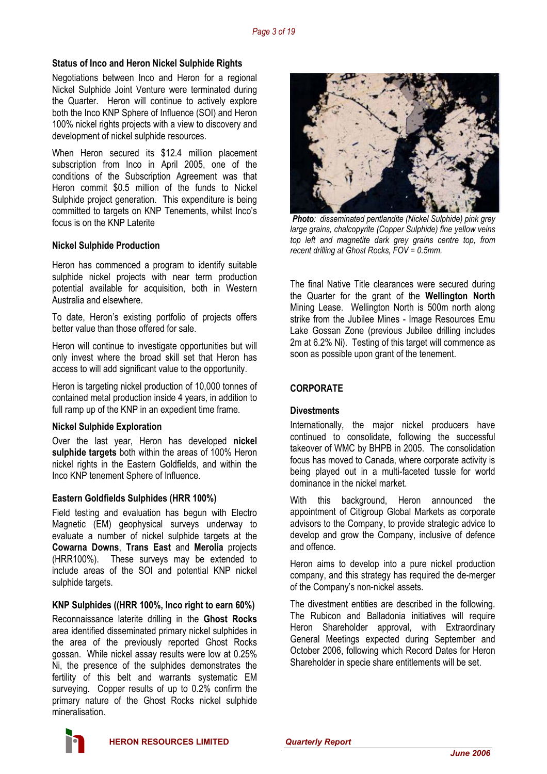#### **Status of Inco and Heron Nickel Sulphide Rights**

Negotiations between Inco and Heron for a regional Nickel Sulphide Joint Venture were terminated during the Quarter. Heron will continue to actively explore both the Inco KNP Sphere of Influence (SOI) and Heron 100% nickel rights projects with a view to discovery and development of nickel sulphide resources.

When Heron secured its \$12.4 million placement subscription from Inco in April 2005, one of the conditions of the Subscription Agreement was that Heron commit \$0.5 million of the funds to Nickel Sulphide project generation. This expenditure is being committed to targets on KNP Tenements, whilst Inco's focus is on the KNP Laterite

#### **Nickel Sulphide Production**

Heron has commenced a program to identify suitable sulphide nickel projects with near term production potential available for acquisition, both in Western Australia and elsewhere.

To date, Heron's existing portfolio of projects offers better value than those offered for sale.

Heron will continue to investigate opportunities but will only invest where the broad skill set that Heron has access to will add significant value to the opportunity.

Heron is targeting nickel production of 10,000 tonnes of contained metal production inside 4 years, in addition to full ramp up of the KNP in an expedient time frame.

#### **Nickel Sulphide Exploration**

Over the last year, Heron has developed **nickel sulphide targets** both within the areas of 100% Heron nickel rights in the Eastern Goldfields, and within the Inco KNP tenement Sphere of Influence.

#### **Eastern Goldfields Sulphides (HRR 100%)**

Field testing and evaluation has begun with Electro Magnetic (EM) geophysical surveys underway to evaluate a number of nickel sulphide targets at the **Cowarna Downs**, **Trans East** and **Merolia** projects (HRR100%). These surveys may be extended to include areas of the SOI and potential KNP nickel sulphide targets.

#### **KNP Sulphides ((HRR 100%, Inco right to earn 60%)**

Reconnaissance laterite drilling in the **Ghost Rocks** area identified disseminated primary nickel sulphides in the area of the previously reported Ghost Rocks gossan. While nickel assay results were low at 0.25% Ni, the presence of the sulphides demonstrates the fertility of this belt and warrants systematic EM surveying. Copper results of up to 0.2% confirm the primary nature of the Ghost Rocks nickel sulphide mineralisation.



*Photo: disseminated pentlandite (Nickel Sulphide) pink grey large grains, chalcopyrite (Copper Sulphide) fine yellow veins top left and magnetite dark grey grains centre top, from recent drilling at Ghost Rocks, FOV = 0.5mm.* 

The final Native Title clearances were secured during the Quarter for the grant of the **Wellington North** Mining Lease. Wellington North is 500m north along strike from the Jubilee Mines - Image Resources Emu Lake Gossan Zone (previous Jubilee drilling includes 2m at 6.2% Ni). Testing of this target will commence as soon as possible upon grant of the tenement.

#### **CORPORATE**

#### **Divestments**

Internationally, the major nickel producers have continued to consolidate, following the successful takeover of WMC by BHPB in 2005. The consolidation focus has moved to Canada, where corporate activity is being played out in a multi-faceted tussle for world dominance in the nickel market.

With this background, Heron announced the appointment of Citigroup Global Markets as corporate advisors to the Company, to provide strategic advice to develop and grow the Company, inclusive of defence and offence.

Heron aims to develop into a pure nickel production company, and this strategy has required the de-merger of the Company's non-nickel assets.

The divestment entities are described in the following. The Rubicon and Balladonia initiatives will require Heron Shareholder approval, with Extraordinary General Meetings expected during September and October 2006, following which Record Dates for Heron Shareholder in specie share entitlements will be set.

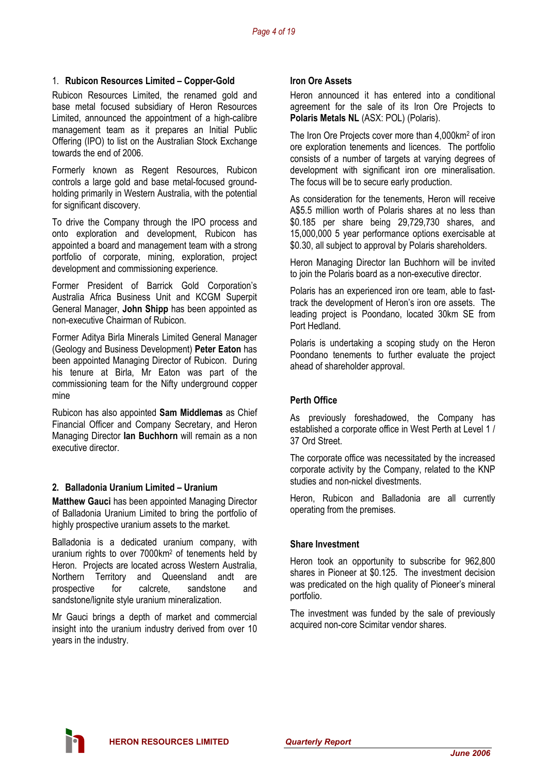#### 1. **Rubicon Resources Limited – Copper-Gold**

Rubicon Resources Limited, the renamed gold and base metal focused subsidiary of Heron Resources Limited, announced the appointment of a high-calibre management team as it prepares an Initial Public Offering (IPO) to list on the Australian Stock Exchange towards the end of 2006.

Formerly known as Regent Resources, Rubicon controls a large gold and base metal-focused groundholding primarily in Western Australia, with the potential for significant discovery.

To drive the Company through the IPO process and onto exploration and development, Rubicon has appointed a board and management team with a strong portfolio of corporate, mining, exploration, project development and commissioning experience.

Former President of Barrick Gold Corporation's Australia Africa Business Unit and KCGM Superpit General Manager, **John Shipp** has been appointed as non-executive Chairman of Rubicon.

Former Aditya Birla Minerals Limited General Manager (Geology and Business Development) **Peter Eaton** has been appointed Managing Director of Rubicon. During his tenure at Birla, Mr Eaton was part of the commissioning team for the Nifty underground copper mine

Rubicon has also appointed **Sam Middlemas** as Chief Financial Officer and Company Secretary, and Heron Managing Director **Ian Buchhorn** will remain as a non executive director.

#### **2. Balladonia Uranium Limited – Uranium**

**Matthew Gauci** has been appointed Managing Director of Balladonia Uranium Limited to bring the portfolio of highly prospective uranium assets to the market.

Balladonia is a dedicated uranium company, with uranium rights to over 7000km2 of tenements held by Heron. Projects are located across Western Australia, Northern Territory and Queensland andt are prospective for calcrete, sandstone and sandstone/lignite style uranium mineralization.

Mr Gauci brings a depth of market and commercial insight into the uranium industry derived from over 10 years in the industry.

#### **Iron Ore Assets**

Heron announced it has entered into a conditional agreement for the sale of its Iron Ore Projects to **Polaris Metals NL** (ASX: POL) (Polaris).

The Iron Ore Projects cover more than 4,000km2 of iron ore exploration tenements and licences. The portfolio consists of a number of targets at varying degrees of development with significant iron ore mineralisation. The focus will be to secure early production.

As consideration for the tenements, Heron will receive A\$5.5 million worth of Polaris shares at no less than \$0.185 per share being 29,729,730 shares, and 15,000,000 5 year performance options exercisable at \$0.30, all subject to approval by Polaris shareholders.

Heron Managing Director Ian Buchhorn will be invited to join the Polaris board as a non-executive director.

Polaris has an experienced iron ore team, able to fasttrack the development of Heron's iron ore assets. The leading project is Poondano, located 30km SE from Port Hedland.

Polaris is undertaking a scoping study on the Heron Poondano tenements to further evaluate the project ahead of shareholder approval.

#### **Perth Office**

As previously foreshadowed, the Company has established a corporate office in West Perth at Level 1 / 37 Ord Street.

The corporate office was necessitated by the increased corporate activity by the Company, related to the KNP studies and non-nickel divestments.

Heron, Rubicon and Balladonia are all currently operating from the premises.

#### **Share Investment**

Heron took an opportunity to subscribe for 962,800 shares in Pioneer at \$0.125. The investment decision was predicated on the high quality of Pioneer's mineral portfolio.

The investment was funded by the sale of previously acquired non-core Scimitar vendor shares.

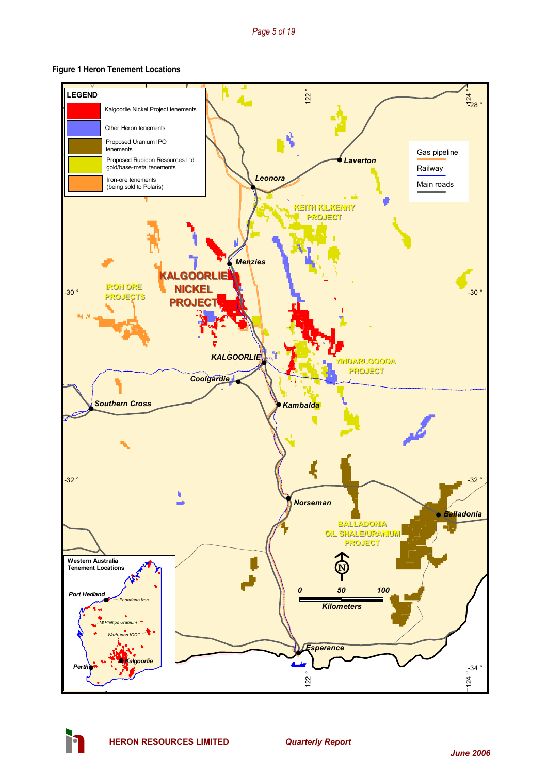#### **Figure 1 Heron Tenement Locations**



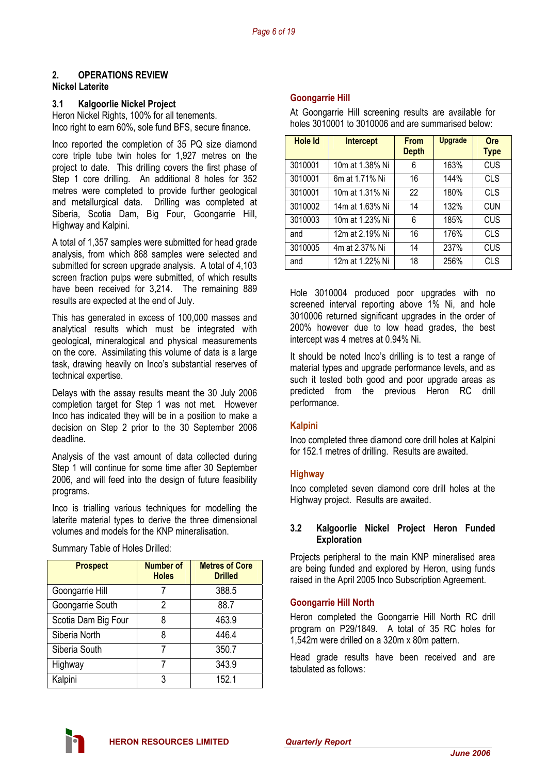# **2. OPERATIONS REVIEW**

### **Nickel Laterite**

#### **3.1 Kalgoorlie Nickel Project**

Heron Nickel Rights, 100% for all tenements. Inco right to earn 60%, sole fund BFS, secure finance.

Inco reported the completion of 35 PQ size diamond core triple tube twin holes for 1,927 metres on the project to date. This drilling covers the first phase of Step 1 core drilling. An additional 8 holes for 352 metres were completed to provide further geological and metallurgical data. Drilling was completed at Siberia, Scotia Dam, Big Four, Goongarrie Hill, Highway and Kalpini.

A total of 1,357 samples were submitted for head grade analysis, from which 868 samples were selected and submitted for screen upgrade analysis. A total of 4,103 screen fraction pulps were submitted, of which results have been received for 3,214. The remaining 889 results are expected at the end of July.

This has generated in excess of 100,000 masses and analytical results which must be integrated with geological, mineralogical and physical measurements on the core. Assimilating this volume of data is a large task, drawing heavily on Inco's substantial reserves of technical expertise.

Delays with the assay results meant the 30 July 2006 completion target for Step 1 was not met. However Inco has indicated they will be in a position to make a decision on Step 2 prior to the 30 September 2006 deadline.

Analysis of the vast amount of data collected during Step 1 will continue for some time after 30 September 2006, and will feed into the design of future feasibility programs.

Inco is trialling various techniques for modelling the laterite material types to derive the three dimensional volumes and models for the KNP mineralisation.

| <b>Prospect</b>     | <b>Number of</b><br><b>Holes</b> | <b>Metres of Core</b><br><b>Drilled</b> |
|---------------------|----------------------------------|-----------------------------------------|
| Goongarrie Hill     |                                  | 388.5                                   |
| Goongarrie South    | 2                                | 88.7                                    |
| Scotia Dam Big Four | 8                                | 463.9                                   |
| Siberia North       | 8                                | 446.4                                   |
| Siberia South       |                                  | 350.7                                   |
| Highway             | 7                                | 343.9                                   |
| Kalpini             | 3                                | 152.1                                   |

#### Summary Table of Holes Drilled:

#### **Goongarrie Hill**

At Goongarrie Hill screening results are available for holes 3010001 to 3010006 and are summarised below:

| <b>Hole Id</b> | <b>Intercept</b> | <b>From</b><br><b>Depth</b> | <b>Upgrade</b> | <b>Ore</b><br><b>Type</b> |
|----------------|------------------|-----------------------------|----------------|---------------------------|
| 3010001        | 10m at 1.38% Ni  | 6                           | 163%           | <b>CUS</b>                |
| 3010001        | 6m at 1.71% Ni   | 16                          | 144%           | <b>CLS</b>                |
| 3010001        | 10m at 1.31% Ni  | 22                          | 180%           | <b>CLS</b>                |
| 3010002        | 14m at 1.63% Ni  | 14                          | 132%           | <b>CUN</b>                |
| 3010003        | 10m at 1.23% Ni  | 6                           | 185%           | CUS                       |
| and            | 12m at 2.19% Ni  | 16                          | 176%           | <b>CLS</b>                |
| 3010005        | 4m at 2.37% Ni   | 14                          | 237%           | <b>CUS</b>                |
| and            | 12m at 1.22% Ni  | 18                          | 256%           | <b>CLS</b>                |

Hole 3010004 produced poor upgrades with no screened interval reporting above 1% Ni, and hole 3010006 returned significant upgrades in the order of 200% however due to low head grades, the best intercept was 4 metres at 0.94% Ni.

It should be noted Inco's drilling is to test a range of material types and upgrade performance levels, and as such it tested both good and poor upgrade areas as predicted from the previous Heron RC drill performance.

#### **Kalpini**

Inco completed three diamond core drill holes at Kalpini for 152.1 metres of drilling. Results are awaited.

#### **Highway**

Inco completed seven diamond core drill holes at the Highway project. Results are awaited.

#### **3.2 Kalgoorlie Nickel Project Heron Funded Exploration**

Projects peripheral to the main KNP mineralised area are being funded and explored by Heron, using funds raised in the April 2005 Inco Subscription Agreement.

#### **Goongarrie Hill North**

Heron completed the Goongarrie Hill North RC drill program on P29/1849. A total of 35 RC holes for 1,542m were drilled on a 320m x 80m pattern.

Head grade results have been received and are tabulated as follows:

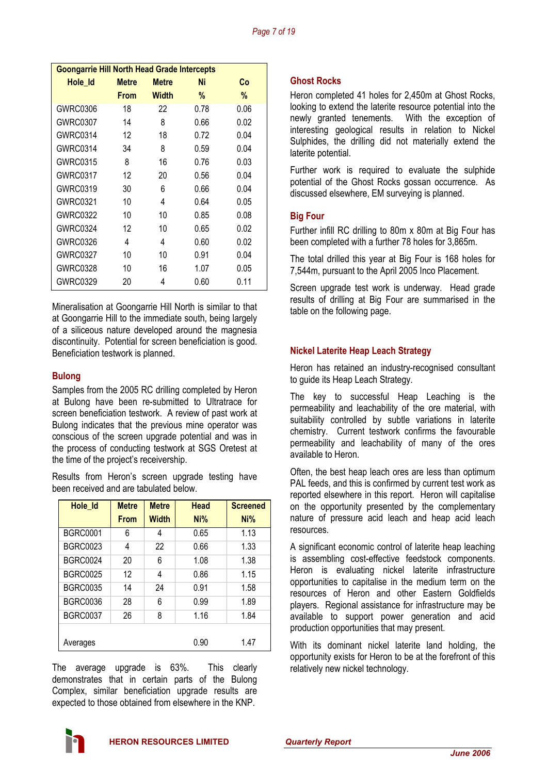| <b>Goongarrie Hill North Head Grade Intercepts</b> |              |              |      |      |  |  |
|----------------------------------------------------|--------------|--------------|------|------|--|--|
| Hole Id                                            | <b>Metre</b> | <b>Metre</b> | Ni   | Co   |  |  |
|                                                    | <b>From</b>  | Width        | %    | %    |  |  |
| <b>GWRC0306</b>                                    | 18           | 22           | 0.78 | 0.06 |  |  |
| <b>GWRC0307</b>                                    | 14           | 8            | 0.66 | 0.02 |  |  |
| GWRC0314                                           | 12           | 18           | 0.72 | 0.04 |  |  |
| GWRC0314                                           | 34           | 8            | 0.59 | 0.04 |  |  |
| <b>GWRC0315</b>                                    | 8            | 16           | 0.76 | 0.03 |  |  |
| <b>GWRC0317</b>                                    | 12           | 20           | 0.56 | 0.04 |  |  |
| GWRC0319                                           | 30           | 6            | 0.66 | 0.04 |  |  |
| GWRC0321                                           | 10           | 4            | 0.64 | 0.05 |  |  |
| <b>GWRC0322</b>                                    | 10           | 10           | 0.85 | 0.08 |  |  |
| <b>GWRC0324</b>                                    | 12           | 10           | 0.65 | 0.02 |  |  |
| GWRC0326                                           | 4            | 4            | 0.60 | 0.02 |  |  |
| <b>GWRC0327</b>                                    | 10           | 10           | 0.91 | 0.04 |  |  |
| <b>GWRC0328</b>                                    | 10           | 16           | 1.07 | 0.05 |  |  |
| <b>GWRC0329</b>                                    | 20           | 4            | 0.60 | 0.11 |  |  |

Mineralisation at Goongarrie Hill North is similar to that at Goongarrie Hill to the immediate south, being largely of a siliceous nature developed around the magnesia discontinuity. Potential for screen beneficiation is good. Beneficiation testwork is planned.

#### **Bulong**

Samples from the 2005 RC drilling completed by Heron at Bulong have been re-submitted to Ultratrace for screen beneficiation testwork. A review of past work at Bulong indicates that the previous mine operator was conscious of the screen upgrade potential and was in the process of conducting testwork at SGS Oretest at the time of the project's receivership.

Results from Heron's screen upgrade testing have been received and are tabulated below.

| Hole_Id         | <b>Metre</b> | <b>Metre</b> | <b>Head</b> | <b>Screened</b> |
|-----------------|--------------|--------------|-------------|-----------------|
|                 | <b>From</b>  | <b>Width</b> | Ni%         | Ni%             |
| <b>BGRC0001</b> | 6            | 4            | 0.65        | 1.13            |
| <b>BGRC0023</b> | 4            | 22           | 0.66        | 1.33            |
| <b>BGRC0024</b> | 20           | 6            | 1.08        | 1.38            |
| <b>BGRC0025</b> | 12           | 4            | 0.86        | 1.15            |
| BGRC0035        | 14           | 24           | 0.91        | 1.58            |
| BGRC0036        | 28           | 6            | 0.99        | 1.89            |
| <b>BGRC0037</b> | 26           | 8            | 1.16        | 1.84            |
|                 |              |              |             |                 |
| Averages        |              |              | 0.90        | 1.47            |

The average upgrade is 63%. This clearly demonstrates that in certain parts of the Bulong Complex, similar beneficiation upgrade results are expected to those obtained from elsewhere in the KNP.

#### **Ghost Rocks**

Heron completed 41 holes for 2,450m at Ghost Rocks, looking to extend the laterite resource potential into the newly granted tenements. With the exception of interesting geological results in relation to Nickel Sulphides, the drilling did not materially extend the laterite potential.

Further work is required to evaluate the sulphide potential of the Ghost Rocks gossan occurrence. As discussed elsewhere, EM surveying is planned.

#### **Big Four**

Further infill RC drilling to 80m x 80m at Big Four has been completed with a further 78 holes for 3,865m.

The total drilled this year at Big Four is 168 holes for 7,544m, pursuant to the April 2005 Inco Placement.

Screen upgrade test work is underway. Head grade results of drilling at Big Four are summarised in the table on the following page.

#### **Nickel Laterite Heap Leach Strategy**

Heron has retained an industry-recognised consultant to guide its Heap Leach Strategy.

The key to successful Heap Leaching is the permeability and leachability of the ore material, with suitability controlled by subtle variations in laterite chemistry. Current testwork confirms the favourable permeability and leachability of many of the ores available to Heron.

Often, the best heap leach ores are less than optimum PAL feeds, and this is confirmed by current test work as reported elsewhere in this report. Heron will capitalise on the opportunity presented by the complementary nature of pressure acid leach and heap acid leach resources.

A significant economic control of laterite heap leaching is assembling cost-effective feedstock components. Heron is evaluating nickel laterite infrastructure opportunities to capitalise in the medium term on the resources of Heron and other Eastern Goldfields players. Regional assistance for infrastructure may be available to support power generation and acid production opportunities that may present.

With its dominant nickel laterite land holding, the opportunity exists for Heron to be at the forefront of this relatively new nickel technology.

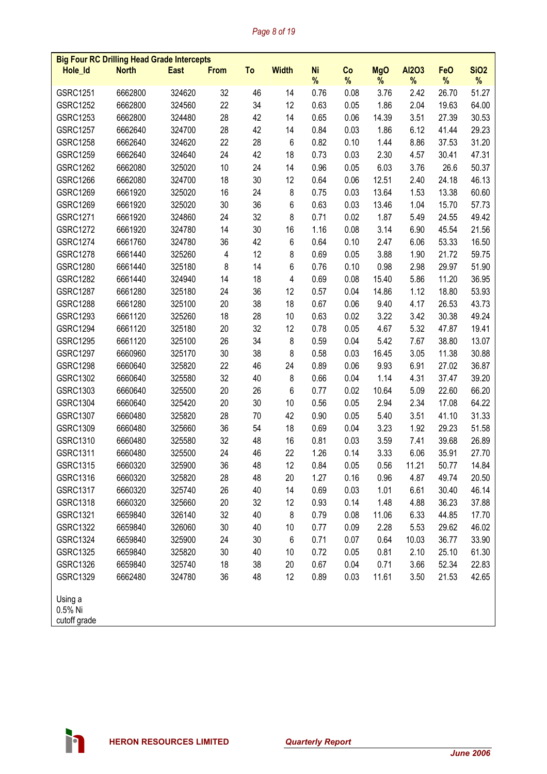# *Page 8 of 19*

|                                    | <b>Big Four RC Drilling Head Grade Intercepts</b> |             |             |    |              |                |         |                 |                   |                    |                  |
|------------------------------------|---------------------------------------------------|-------------|-------------|----|--------------|----------------|---------|-----------------|-------------------|--------------------|------------------|
| Hole_Id                            | <b>North</b>                                      | <b>East</b> | <b>From</b> | To | <b>Width</b> | <b>Ni</b><br>% | Co<br>% | <b>MgO</b><br>% | <b>Al2O3</b><br>% | <b>FeO</b><br>$\%$ | <b>SiO2</b><br>% |
| GSRC1251                           | 6662800                                           | 324620      | 32          | 46 | 14           | 0.76           | 0.08    | 3.76            | 2.42              | 26.70              | 51.27            |
| <b>GSRC1252</b>                    | 6662800                                           | 324560      | 22          | 34 | 12           | 0.63           | 0.05    | 1.86            | 2.04              | 19.63              | 64.00            |
| GSRC1253                           | 6662800                                           | 324480      | 28          | 42 | 14           | 0.65           | 0.06    | 14.39           | 3.51              | 27.39              | 30.53            |
| <b>GSRC1257</b>                    | 6662640                                           | 324700      | 28          | 42 | 14           | 0.84           | 0.03    | 1.86            | 6.12              | 41.44              | 29.23            |
| <b>GSRC1258</b>                    | 6662640                                           | 324620      | 22          | 28 | 6            | 0.82           | 0.10    | 1.44            | 8.86              | 37.53              | 31.20            |
| GSRC1259                           | 6662640                                           | 324640      | 24          | 42 | 18           | 0.73           | 0.03    | 2.30            | 4.57              | 30.41              | 47.31            |
| <b>GSRC1262</b>                    | 6662080                                           | 325020      | 10          | 24 | 14           | 0.96           | 0.05    | 6.03            | 3.76              | 26.6               | 50.37            |
| <b>GSRC1266</b>                    | 6662080                                           | 324700      | 18          | 30 | 12           | 0.64           | 0.06    | 12.51           | 2.40              | 24.18              | 46.13            |
| <b>GSRC1269</b>                    | 6661920                                           | 325020      | 16          | 24 | 8            | 0.75           | 0.03    | 13.64           | 1.53              | 13.38              | 60.60            |
| <b>GSRC1269</b>                    | 6661920                                           | 325020      | 30          | 36 | 6            | 0.63           | 0.03    | 13.46           | 1.04              | 15.70              | 57.73            |
| GSRC1271                           | 6661920                                           | 324860      | 24          | 32 | 8            | 0.71           | 0.02    | 1.87            | 5.49              | 24.55              | 49.42            |
| <b>GSRC1272</b>                    | 6661920                                           | 324780      | 14          | 30 | 16           | 1.16           | 0.08    | 3.14            | 6.90              | 45.54              | 21.56            |
| <b>GSRC1274</b>                    | 6661760                                           | 324780      | 36          | 42 | 6            | 0.64           | 0.10    | 2.47            | 6.06              | 53.33              | 16.50            |
| <b>GSRC1278</b>                    | 6661440                                           | 325260      | 4           | 12 | 8            | 0.69           | 0.05    | 3.88            | 1.90              | 21.72              | 59.75            |
| <b>GSRC1280</b>                    | 6661440                                           | 325180      | 8           | 14 | 6            | 0.76           | 0.10    | 0.98            | 2.98              | 29.97              | 51.90            |
| <b>GSRC1282</b>                    | 6661440                                           | 324940      | 14          | 18 | 4            | 0.69           | 0.08    | 15.40           | 5.86              | 11.20              | 36.95            |
| <b>GSRC1287</b>                    | 6661280                                           | 325180      | 24          | 36 | 12           | 0.57           | 0.04    | 14.86           | 1.12              | 18.80              | 53.93            |
| <b>GSRC1288</b>                    | 6661280                                           | 325100      | 20          | 38 | 18           | 0.67           | 0.06    | 9.40            | 4.17              | 26.53              | 43.73            |
| <b>GSRC1293</b>                    | 6661120                                           | 325260      | 18          | 28 | 10           | 0.63           | 0.02    | 3.22            | 3.42              | 30.38              | 49.24            |
| <b>GSRC1294</b>                    | 6661120                                           | 325180      | 20          | 32 | 12           | 0.78           | 0.05    | 4.67            | 5.32              | 47.87              | 19.41            |
| <b>GSRC1295</b>                    | 6661120                                           | 325100      | 26          | 34 | 8            | 0.59           | 0.04    | 5.42            | 7.67              | 38.80              | 13.07            |
| <b>GSRC1297</b>                    | 6660960                                           | 325170      | 30          | 38 | 8            | 0.58           | 0.03    | 16.45           | 3.05              | 11.38              | 30.88            |
| <b>GSRC1298</b>                    | 6660640                                           | 325820      | 22          | 46 | 24           | 0.89           | 0.06    | 9.93            | 6.91              | 27.02              | 36.87            |
| GSRC1302                           | 6660640                                           | 325580      | 32          | 40 | 8            | 0.66           | 0.04    | 1.14            | 4.31              | 37.47              | 39.20            |
| GSRC1303                           | 6660640                                           | 325500      | 20          | 26 | 6            | 0.77           | 0.02    | 10.64           | 5.09              | 22.60              | 66.20            |
| <b>GSRC1304</b>                    | 6660640                                           | 325420      | 20          | 30 | 10           | 0.56           | 0.05    | 2.94            | 2.34              | 17.08              | 64.22            |
| <b>GSRC1307</b>                    | 6660480                                           | 325820      | 28          | 70 | 42           | 0.90           | 0.05    | 5.40            | 3.51              | 41.10              | 31.33            |
| GSRC1309                           | 6660480                                           | 325660      | 36          | 54 | 18           | 0.69           | 0.04    | 3.23            | 1.92              | 29.23              | 51.58            |
| GSRC1310                           | 6660480                                           | 325580      | 32          | 48 | 16           | 0.81           | 0.03    | 3.59            | 7.41              | 39.68              | 26.89            |
| GSRC1311                           | 6660480                                           | 325500      | 24          | 46 | 22           | 1.26           | 0.14    | 3.33            | 6.06              | 35.91              | 27.70            |
| GSRC1315                           | 6660320                                           | 325900      | 36          | 48 | 12           | 0.84           | 0.05    | 0.56            | 11.21             | 50.77              | 14.84            |
| GSRC1316                           | 6660320                                           | 325820      | 28          | 48 | 20           | 1.27           | 0.16    | 0.96            | 4.87              | 49.74              | 20.50            |
| GSRC1317                           | 6660320                                           | 325740      | 26          | 40 | 14           | 0.69           | 0.03    | 1.01            | 6.61              | 30.40              | 46.14            |
| GSRC1318                           | 6660320                                           | 325660      | 20          | 32 | 12           | 0.93           | 0.14    | 1.48            | 4.88              | 36.23              | 37.88            |
| GSRC1321                           | 6659840                                           | 326140      | 32          | 40 | 8            | 0.79           | 0.08    | 11.06           | 6.33              | 44.85              | 17.70            |
| <b>GSRC1322</b>                    | 6659840                                           | 326060      | 30          | 40 | 10           | 0.77           | 0.09    | 2.28            | 5.53              | 29.62              | 46.02            |
| GSRC1324                           | 6659840                                           | 325900      | 24          | 30 | 6            | 0.71           | 0.07    | 0.64            | 10.03             | 36.77              | 33.90            |
| GSRC1325                           | 6659840                                           | 325820      | 30          | 40 | 10           | 0.72           | 0.05    | 0.81            | 2.10              | 25.10              | 61.30            |
| GSRC1326                           | 6659840                                           | 325740      | 18          | 38 | 20           | 0.67           | 0.04    | 0.71            | 3.66              | 52.34              | 22.83            |
| GSRC1329                           | 6662480                                           | 324780      | 36          | 48 | 12           | 0.89           | 0.03    | 11.61           | 3.50              | 21.53              | 42.65            |
| Using a<br>0.5% Ni<br>cutoff grade |                                                   |             |             |    |              |                |         |                 |                   |                    |                  |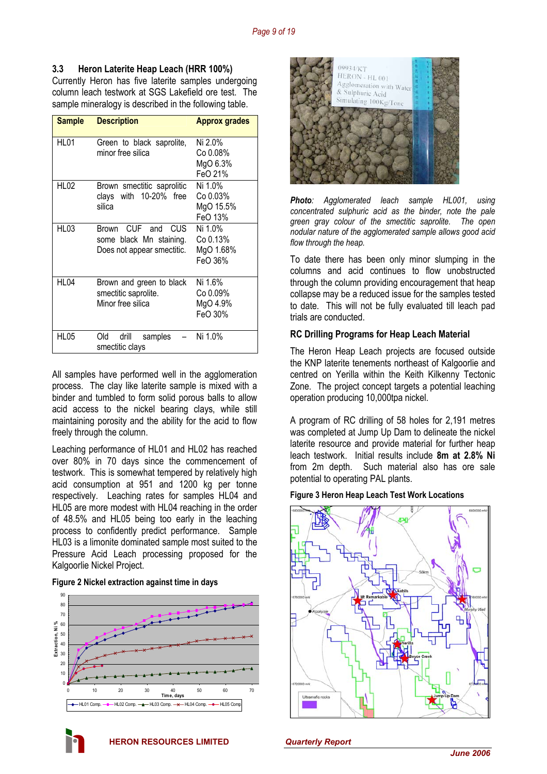### **3.3 Heron Laterite Heap Leach (HRR 100%)**

Currently Heron has five laterite samples undergoing column leach testwork at SGS Lakefield ore test. The sample mineralogy is described in the following table.

| <b>Sample</b> | <b>Description</b>                                                            | <b>Approx grades</b>                        |
|---------------|-------------------------------------------------------------------------------|---------------------------------------------|
| <b>HL01</b>   | Green to black saprolite,<br>minor free silica                                | Ni 2.0%<br>Co 0.08%<br>MgO 6.3%<br>FeO 21%  |
| <b>HL02</b>   | Brown smectitic saprolitic<br>clays with 10-20% free<br>silica                | Ni 1.0%<br>Co 0.03%<br>MgO 15.5%<br>FeO 13% |
| HL03          | CUF and CUS<br>Brown<br>some black Mn staining.<br>Does not appear smectitic. | Ni 1.0%<br>Co 0.13%<br>MgO 1.68%<br>FeO 36% |
| HL04          | Brown and green to black<br>smectitic saprolite.<br>Minor free silica         | Ni 1.6%<br>Co 0.09%<br>MgO 4.9%<br>FeO 30%  |
| HL05          | Old<br>drill<br>samples<br>smectitic clays                                    | Ni 1.0%                                     |

All samples have performed well in the agglomeration process. The clay like laterite sample is mixed with a binder and tumbled to form solid porous balls to allow acid access to the nickel bearing clays, while still maintaining porosity and the ability for the acid to flow freely through the column.

Leaching performance of HL01 and HL02 has reached over 80% in 70 days since the commencement of testwork. This is somewhat tempered by relatively high acid consumption at 951 and 1200 kg per tonne respectively. Leaching rates for samples HL04 and HL05 are more modest with HL04 reaching in the order of 48.5% and HL05 being too early in the leaching process to confidently predict performance. Sample HL03 is a limonite dominated sample most suited to the Pressure Acid Leach processing proposed for the Kalgoorlie Nickel Project.

#### **Figure 2 Nickel extraction against time in days**







*Photo: Agglomerated leach sample HL001, using concentrated sulphuric acid as the binder, note the pale green gray colour of the smectitic saprolite. The open nodular nature of the agglomerated sample allows good acid flow through the heap.* 

To date there has been only minor slumping in the columns and acid continues to flow unobstructed through the column providing encouragement that heap collapse may be a reduced issue for the samples tested to date. This will not be fully evaluated till leach pad trials are conducted.

#### **RC Drilling Programs for Heap Leach Material**

The Heron Heap Leach projects are focused outside the KNP laterite tenements northeast of Kalgoorlie and centred on Yerilla within the Keith Kilkenny Tectonic Zone. The project concept targets a potential leaching operation producing 10,000tpa nickel.

A program of RC drilling of 58 holes for 2,191 metres was completed at Jump Up Dam to delineate the nickel laterite resource and provide material for further heap leach testwork. Initial results include **8m at 2.8% Ni** from 2m depth. Such material also has ore sale potential to operating PAL plants.

#### **Figure 3 Heron Heap Leach Test Work Locations**

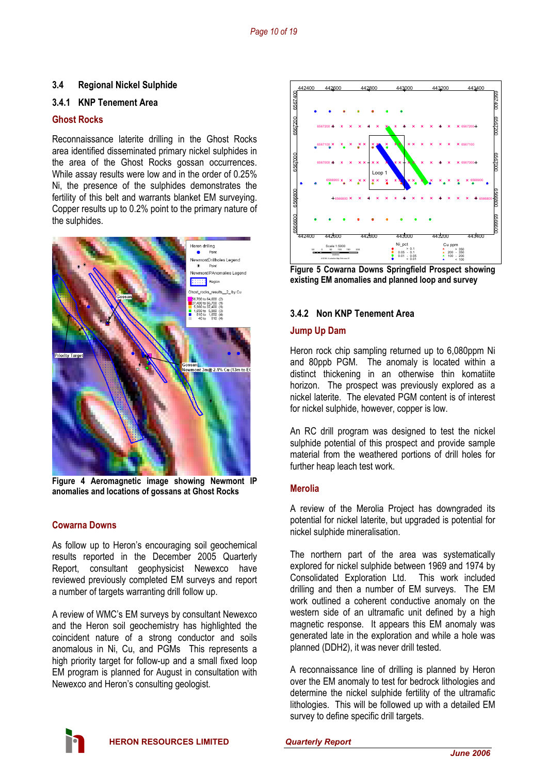### **3.4 Regional Nickel Sulphide**

#### **3.4.1 KNP Tenement Area**

#### **Ghost Rocks**

Reconnaissance laterite drilling in the Ghost Rocks area identified disseminated primary nickel sulphides in the area of the Ghost Rocks gossan occurrences. While assay results were low and in the order of 0.25% Ni, the presence of the sulphides demonstrates the fertility of this belt and warrants blanket EM surveying. Copper results up to 0.2% point to the primary nature of the sulphides.



**Figure 4 Aeromagnetic image showing Newmont IP anomalies and locations of gossans at Ghost Rocks** 

#### **Cowarna Downs**

As follow up to Heron's encouraging soil geochemical results reported in the December 2005 Quarterly Report, consultant geophysicist Newexco have reviewed previously completed EM surveys and report a number of targets warranting drill follow up.

A review of WMC's EM surveys by consultant Newexco and the Heron soil geochemistry has highlighted the coincident nature of a strong conductor and soils anomalous in Ni, Cu, and PGMs This represents a high priority target for follow-up and a small fixed loop EM program is planned for August in consultation with Newexco and Heron's consulting geologist.



**Figure 5 Cowarna Downs Springfield Prospect showing existing EM anomalies and planned loop and survey** 

# **3.4.2 Non KNP Tenement Area**

#### **Jump Up Dam**

Heron rock chip sampling returned up to 6,080ppm Ni and 80ppb PGM. The anomaly is located within a distinct thickening in an otherwise thin komatiite horizon. The prospect was previously explored as a nickel laterite. The elevated PGM content is of interest for nickel sulphide, however, copper is low.

An RC drill program was designed to test the nickel sulphide potential of this prospect and provide sample material from the weathered portions of drill holes for further heap leach test work.

#### **Merolia**

A review of the Merolia Project has downgraded its potential for nickel laterite, but upgraded is potential for nickel sulphide mineralisation.

The northern part of the area was systematically explored for nickel sulphide between 1969 and 1974 by Consolidated Exploration Ltd. This work included drilling and then a number of EM surveys. The EM work outlined a coherent conductive anomaly on the western side of an ultramafic unit defined by a high magnetic response. It appears this EM anomaly was generated late in the exploration and while a hole was planned (DDH2), it was never drill tested.

A reconnaissance line of drilling is planned by Heron over the EM anomaly to test for bedrock lithologies and determine the nickel sulphide fertility of the ultramafic lithologies. This will be followed up with a detailed EM survey to define specific drill targets.

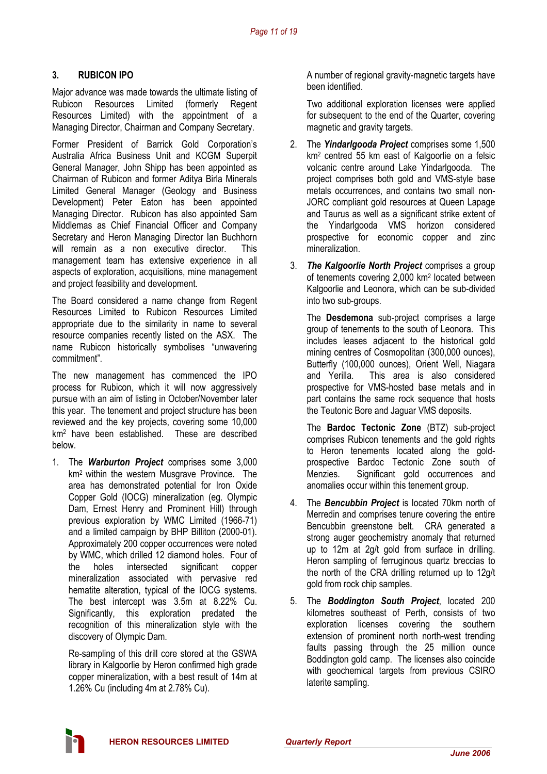# **3. RUBICON IPO**

Major advance was made towards the ultimate listing of Rubicon Resources Limited (formerly Regent Resources Limited) with the appointment of a Managing Director, Chairman and Company Secretary.

Former President of Barrick Gold Corporation's Australia Africa Business Unit and KCGM Superpit General Manager, John Shipp has been appointed as Chairman of Rubicon and former Aditya Birla Minerals Limited General Manager (Geology and Business Development) Peter Eaton has been appointed Managing Director. Rubicon has also appointed Sam Middlemas as Chief Financial Officer and Company Secretary and Heron Managing Director Ian Buchhorn will remain as a non executive director. This management team has extensive experience in all aspects of exploration, acquisitions, mine management and project feasibility and development.

The Board considered a name change from Regent Resources Limited to Rubicon Resources Limited appropriate due to the similarity in name to several resource companies recently listed on the ASX. The name Rubicon historically symbolises "unwavering commitment".

The new management has commenced the IPO process for Rubicon, which it will now aggressively pursue with an aim of listing in October/November later this year. The tenement and project structure has been reviewed and the key projects, covering some 10,000 km2 have been established. These are described below.

1. The *Warburton Project* comprises some 3,000 km2 within the western Musgrave Province. The area has demonstrated potential for Iron Oxide Copper Gold (IOCG) mineralization (eg. Olympic Dam, Ernest Henry and Prominent Hill) through previous exploration by WMC Limited (1966-71) and a limited campaign by BHP Billiton (2000-01). Approximately 200 copper occurrences were noted by WMC, which drilled 12 diamond holes. Four of the holes intersected significant copper mineralization associated with pervasive red hematite alteration, typical of the IOCG systems. The best intercept was 3.5m at 8.22% Cu. Significantly, this exploration predated the recognition of this mineralization style with the discovery of Olympic Dam.

Re-sampling of this drill core stored at the GSWA library in Kalgoorlie by Heron confirmed high grade copper mineralization, with a best result of 14m at 1.26% Cu (including 4m at 2.78% Cu).

A number of regional gravity-magnetic targets have been identified.

Two additional exploration licenses were applied for subsequent to the end of the Quarter, covering magnetic and gravity targets.

- 2. The *Yindarlgooda Project* comprises some 1,500 km2 centred 55 km east of Kalgoorlie on a felsic volcanic centre around Lake Yindarlgooda. The project comprises both gold and VMS-style base metals occurrences, and contains two small non-JORC compliant gold resources at Queen Lapage and Taurus as well as a significant strike extent of the Yindarlgooda VMS horizon considered prospective for economic copper and zinc mineralization.
- 3. *The Kalgoorlie North Project* comprises a group of tenements covering 2,000 km2 located between Kalgoorlie and Leonora, which can be sub-divided into two sub-groups.

The **Desdemona** sub-project comprises a large group of tenements to the south of Leonora. This includes leases adjacent to the historical gold mining centres of Cosmopolitan (300,000 ounces), Butterfly (100,000 ounces), Orient Well, Niagara and Yerilla. This area is also considered prospective for VMS-hosted base metals and in part contains the same rock sequence that hosts the Teutonic Bore and Jaguar VMS deposits.

The **Bardoc Tectonic Zone** (BTZ) sub-project comprises Rubicon tenements and the gold rights to Heron tenements located along the goldprospective Bardoc Tectonic Zone south of Menzies. Significant gold occurrences and anomalies occur within this tenement group.

- 4. The *Bencubbin Project* is located 70km north of Merredin and comprises tenure covering the entire Bencubbin greenstone belt. CRA generated a strong auger geochemistry anomaly that returned up to 12m at 2g/t gold from surface in drilling. Heron sampling of ferruginous quartz breccias to the north of the CRA drilling returned up to 12g/t gold from rock chip samples.
- 5. The *Boddington South Project*, located 200 kilometres southeast of Perth, consists of two exploration licenses covering the southern extension of prominent north north-west trending faults passing through the 25 million ounce Boddington gold camp. The licenses also coincide with geochemical targets from previous CSIRO laterite sampling.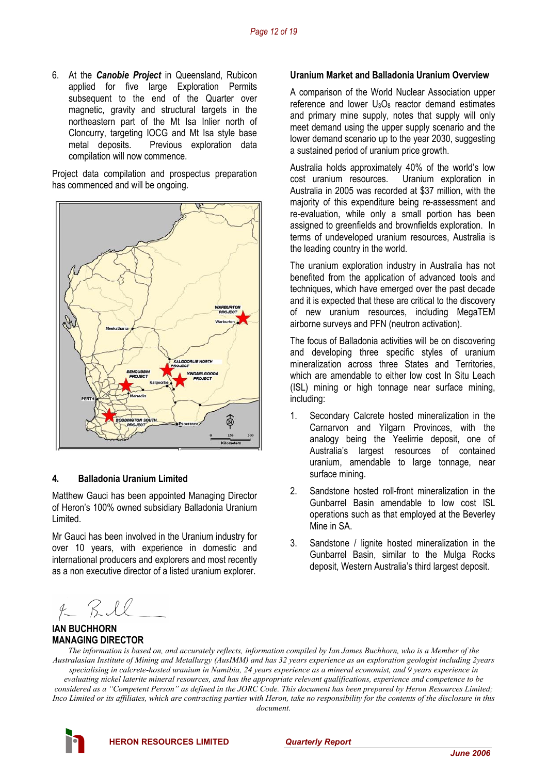6. At the *Canobie Project* in Queensland, Rubicon applied for five large Exploration Permits subsequent to the end of the Quarter over magnetic, gravity and structural targets in the northeastern part of the Mt Isa Inlier north of Cloncurry, targeting IOCG and Mt Isa style base metal deposits. Previous exploration data compilation will now commence.

Project data compilation and prospectus preparation has commenced and will be ongoing.



#### **4. Balladonia Uranium Limited**

Matthew Gauci has been appointed Managing Director of Heron's 100% owned subsidiary Balladonia Uranium Limited.

Mr Gauci has been involved in the Uranium industry for over 10 years, with experience in domestic and international producers and explorers and most recently as a non executive director of a listed uranium explorer.

#### **Uranium Market and Balladonia Uranium Overview**

A comparison of the World Nuclear Association upper reference and lower  $U_3O_8$  reactor demand estimates and primary mine supply, notes that supply will only meet demand using the upper supply scenario and the lower demand scenario up to the year 2030, suggesting a sustained period of uranium price growth.

Australia holds approximately 40% of the world's low cost uranium resources. Uranium exploration in Australia in 2005 was recorded at \$37 million, with the majority of this expenditure being re-assessment and re-evaluation, while only a small portion has been assigned to greenfields and brownfields exploration. In terms of undeveloped uranium resources, Australia is the leading country in the world.

The uranium exploration industry in Australia has not benefited from the application of advanced tools and techniques, which have emerged over the past decade and it is expected that these are critical to the discovery of new uranium resources, including MegaTEM airborne surveys and PFN (neutron activation).

The focus of Balladonia activities will be on discovering and developing three specific styles of uranium mineralization across three States and Territories, which are amendable to either low cost In Situ Leach (ISL) mining or high tonnage near surface mining, including:

- 1. Secondary Calcrete hosted mineralization in the Carnarvon and Yilgarn Provinces, with the analogy being the Yeelirrie deposit, one of Australia's largest resources of contained uranium, amendable to large tonnage, near surface mining.
- 2. Sandstone hosted roll-front mineralization in the Gunbarrel Basin amendable to low cost ISL operations such as that employed at the Beverley Mine in SA.
- 3. Sandstone / lignite hosted mineralization in the Gunbarrel Basin, similar to the Mulga Rocks deposit, Western Australia's third largest deposit.

 $f R L$ 

### **IAN BUCHHORN MANAGING DIRECTOR**

*The information is based on, and accurately reflects, information compiled by Ian James Buchhorn, who is a Member of the Australasian Institute of Mining and Metallurgy (AusIMM) and has 32 years experience as an exploration geologist including 2years specialising in calcrete-hosted uranium in Namibia, 24 years experience as a mineral economist, and 9 years experience in evaluating nickel laterite mineral resources, and has the appropriate relevant qualifications, experience and competence to be considered as a "Competent Person" as defined in the JORC Code. This document has been prepared by Heron Resources Limited; Inco Limited or its affiliates, which are contracting parties with Heron, take no responsibility for the contents of the disclosure in this document.* 

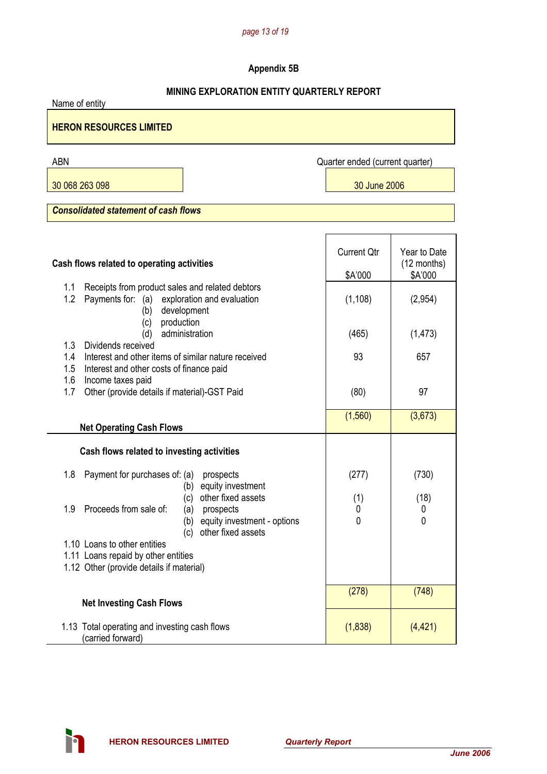#### *page 13 of 19*

# **Appendix 5B**

## **MINING EXPLORATION ENTITY QUARTERLY REPORT**

Name of entity **HERON RESOURCES LIMITED** 

30 068 263 098 30 June 2006

ABN Quarter ended (current quarter)

*Consolidated statement of cash flows* 

| Cash flows related to operating activities                                                                                                        | <b>Current Qtr</b><br>\$A'000 | Year to Date<br>(12 months)<br>\$A'000 |
|---------------------------------------------------------------------------------------------------------------------------------------------------|-------------------------------|----------------------------------------|
| Receipts from product sales and related debtors<br>1.1<br>1.2<br>Payments for: (a)<br>exploration and evaluation<br>development<br>(b)            | (1, 108)                      | (2,954)                                |
| (c)<br>production<br>administration<br>(d)                                                                                                        | (465)                         | (1, 473)                               |
| 1.3<br>Dividends received<br>Interest and other items of similar nature received<br>1.4<br>1.5<br>Interest and other costs of finance paid<br>1.6 | 93                            | 657                                    |
| Income taxes paid<br>Other (provide details if material)-GST Paid<br>1.7                                                                          | (80)                          | 97                                     |
| <b>Net Operating Cash Flows</b>                                                                                                                   | (1, 560)                      | (3,673)                                |
| Cash flows related to investing activities                                                                                                        |                               |                                        |
| Payment for purchases of: (a)<br>1.8<br>prospects<br>(b) equity investment<br>other fixed assets<br>(c)                                           | (277)<br>(1)                  | (730)<br>(18)                          |
| Proceeds from sale of:<br>1.9<br>(a)<br>prospects<br>equity investment - options<br>(b)<br>other fixed assets<br>(c)                              | 0<br>$\mathbf{0}$             | 0<br>$\mathbf{0}$                      |
| 1.10 Loans to other entities                                                                                                                      |                               |                                        |
| 1.11 Loans repaid by other entities                                                                                                               |                               |                                        |
| 1.12 Other (provide details if material)                                                                                                          |                               |                                        |
|                                                                                                                                                   | (278)                         | (748)                                  |
| <b>Net Investing Cash Flows</b>                                                                                                                   |                               |                                        |
| 1.13 Total operating and investing cash flows<br>(carried forward)                                                                                | (1,838)                       | (4, 421)                               |

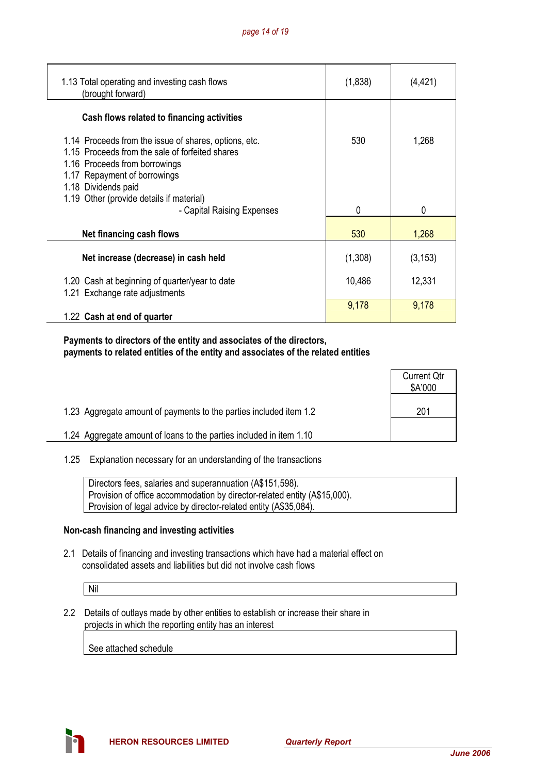| 1.13 Total operating and investing cash flows<br>(brought forward)                                                                                                                                                                           | (1,838) | (4,421)  |
|----------------------------------------------------------------------------------------------------------------------------------------------------------------------------------------------------------------------------------------------|---------|----------|
| Cash flows related to financing activities                                                                                                                                                                                                   |         |          |
| 1.14 Proceeds from the issue of shares, options, etc.<br>1.15 Proceeds from the sale of forfeited shares<br>1.16 Proceeds from borrowings<br>1.17 Repayment of borrowings<br>1.18 Dividends paid<br>1.19 Other (provide details if material) | 530     | 1,268    |
| - Capital Raising Expenses                                                                                                                                                                                                                   | 0       | 0        |
| Net financing cash flows                                                                                                                                                                                                                     | 530     | 1,268    |
| Net increase (decrease) in cash held                                                                                                                                                                                                         | (1,308) | (3, 153) |
| 1.20 Cash at beginning of quarter/year to date<br>1.21 Exchange rate adjustments                                                                                                                                                             | 10,486  | 12,331   |
| 1.22 Cash at end of quarter                                                                                                                                                                                                                  | 9,178   | 9,178    |

 **Payments to directors of the entity and associates of the directors, payments to related entities of the entity and associates of the related entities** 

|                                                                     | <b>Current Qtr</b><br>\$A'000 |
|---------------------------------------------------------------------|-------------------------------|
| 1.23 Aggregate amount of payments to the parties included item 1.2  | 201                           |
| 1.24 Aggregate amount of loans to the parties included in item 1.10 |                               |

1.25 Explanation necessary for an understanding of the transactions

| Directors fees, salaries and superannuation (A\$151,598).                 |
|---------------------------------------------------------------------------|
| Provision of office accommodation by director-related entity (A\$15,000). |
| Provision of legal advice by director-related entity (A\$35,084).         |

#### **Non-cash financing and investing activities**

 2.1 Details of financing and investing transactions which have had a material effect on consolidated assets and liabilities but did not involve cash flows

Nil

 2.2 Details of outlays made by other entities to establish or increase their share in projects in which the reporting entity has an interest

See attached schedule

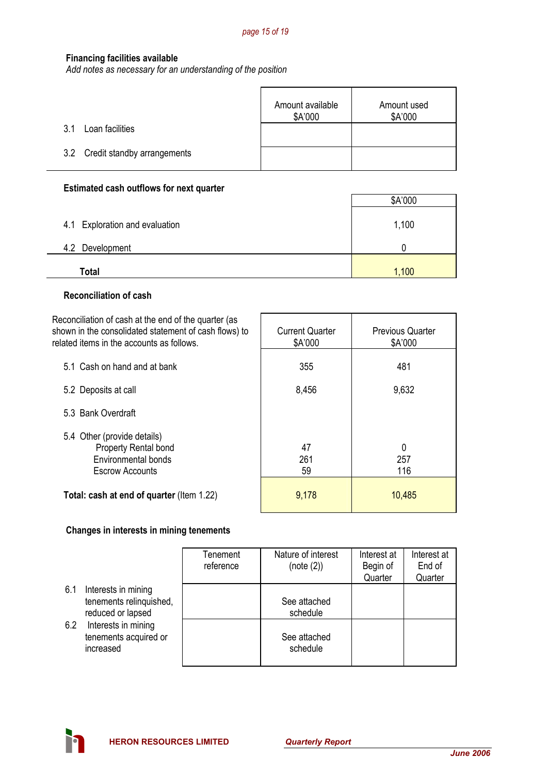#### **Financing facilities available**

*Add notes as necessary for an understanding of the position*

|                                 | Amount available<br>\$A'000 | Amount used<br>\$A'000 |
|---------------------------------|-----------------------------|------------------------|
| Loan facilities<br>3.1          |                             |                        |
| 3.2 Credit standby arrangements |                             |                        |

# **Estimated cash outflows for next quarter**

|                                | \$A'000 |
|--------------------------------|---------|
| 4.1 Exploration and evaluation | 1,100   |
| 4.2 Development                |         |
| Total                          | 1,100   |

#### **Reconciliation of cash**

÷.

| Reconciliation of cash at the end of the quarter (as<br>shown in the consolidated statement of cash flows) to<br>related items in the accounts as follows. | <b>Current Quarter</b><br>\$A'000 | <b>Previous Quarter</b><br>\$A'000 |
|------------------------------------------------------------------------------------------------------------------------------------------------------------|-----------------------------------|------------------------------------|
| 5.1 Cash on hand and at bank                                                                                                                               | 355                               | 481                                |
| 5.2 Deposits at call                                                                                                                                       | 8,456                             | 9,632                              |
| 5.3 Bank Overdraft                                                                                                                                         |                                   |                                    |
| 5.4 Other (provide details)<br><b>Property Rental bond</b><br><b>Environmental bonds</b><br><b>Escrow Accounts</b>                                         | 47<br>261<br>59                   | 0<br>257<br>116                    |
| Total: cash at end of quarter (Item 1.22)                                                                                                                  | 9,178                             | 10,485                             |

#### **Changes in interests in mining tenements**

|                                                                            | Tenement<br>reference | Nature of interest<br>(note (2)) | Interest at<br>Begin of<br>Quarter | Interest at<br>End of<br>Quarter |
|----------------------------------------------------------------------------|-----------------------|----------------------------------|------------------------------------|----------------------------------|
| Interests in mining<br>6.1<br>tenements relinquished,<br>reduced or lapsed |                       | See attached<br>schedule         |                                    |                                  |
| Interests in mining<br>6.2<br>tenements acquired or<br>increased           |                       | See attached<br>schedule         |                                    |                                  |



 $\overline{\phantom{a}}$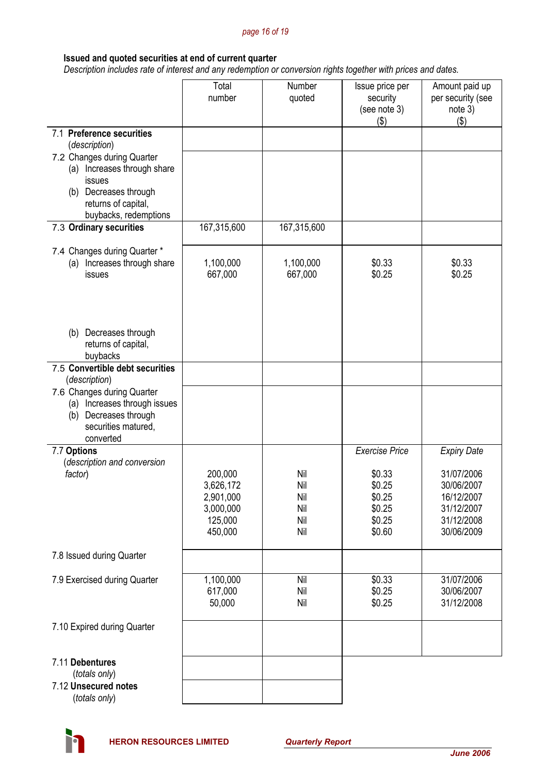#### *page 16 of 19*

# **Issued and quoted securities at end of current quarter**

 *Description includes rate of interest and any redemption or conversion rights together with prices and dates.* 

|                                                  | Total                | Number      | Issue price per          | Amount paid up               |
|--------------------------------------------------|----------------------|-------------|--------------------------|------------------------------|
|                                                  | number               | quoted      | security<br>(see note 3) | per security (see<br>note 3) |
|                                                  |                      |             | (3)                      | $($ \$)                      |
| 7.1 Preference securities<br>(description)       |                      |             |                          |                              |
| 7.2 Changes during Quarter                       |                      |             |                          |                              |
| (a) Increases through share<br>issues            |                      |             |                          |                              |
| (b) Decreases through                            |                      |             |                          |                              |
| returns of capital,                              |                      |             |                          |                              |
| buybacks, redemptions                            |                      |             |                          |                              |
| 7.3 Ordinary securities                          | 167,315,600          | 167,315,600 |                          |                              |
| 7.4 Changes during Quarter *                     |                      |             |                          |                              |
| (a) Increases through share                      | 1,100,000            | 1,100,000   | \$0.33                   | \$0.33                       |
| issues                                           | 667,000              | 667,000     | \$0.25                   | \$0.25                       |
|                                                  |                      |             |                          |                              |
|                                                  |                      |             |                          |                              |
| Decreases through<br>(b)                         |                      |             |                          |                              |
| returns of capital,                              |                      |             |                          |                              |
| buybacks                                         |                      |             |                          |                              |
| 7.5 Convertible debt securities<br>(description) |                      |             |                          |                              |
| 7.6 Changes during Quarter                       |                      |             |                          |                              |
| Increases through issues<br>(a)                  |                      |             |                          |                              |
| Decreases through<br>(b)                         |                      |             |                          |                              |
| securities matured,<br>converted                 |                      |             |                          |                              |
| 7.7 Options                                      |                      |             | <b>Exercise Price</b>    | <b>Expiry Date</b>           |
| (description and conversion                      |                      |             |                          |                              |
| factor)                                          | 200,000<br>3,626,172 | Nil<br>Nil  | \$0.33<br>\$0.25         | 31/07/2006<br>30/06/2007     |
|                                                  | 2,901,000            | Nil         | \$0.25                   | 16/12/2007                   |
|                                                  | 3,000,000            | Nil         | \$0.25                   | 31/12/2007                   |
|                                                  | 125,000<br>450,000   | Nil<br>Nil  | \$0.25<br>\$0.60         | 31/12/2008<br>30/06/2009     |
|                                                  |                      |             |                          |                              |
| 7.8 Issued during Quarter                        |                      |             |                          |                              |
| 7.9 Exercised during Quarter                     | 1,100,000            | Nil         | \$0.33                   | 31/07/2006                   |
|                                                  | 617,000              | Nil         | \$0.25                   | 30/06/2007                   |
|                                                  | 50,000               | Nil         | \$0.25                   | 31/12/2008                   |
| 7.10 Expired during Quarter                      |                      |             |                          |                              |
|                                                  |                      |             |                          |                              |
| 7.11 Debentures                                  |                      |             |                          |                              |
| (totals only)                                    |                      |             |                          |                              |
| 7.12 Unsecured notes<br>(totals only)            |                      |             |                          |                              |
|                                                  |                      |             |                          |                              |

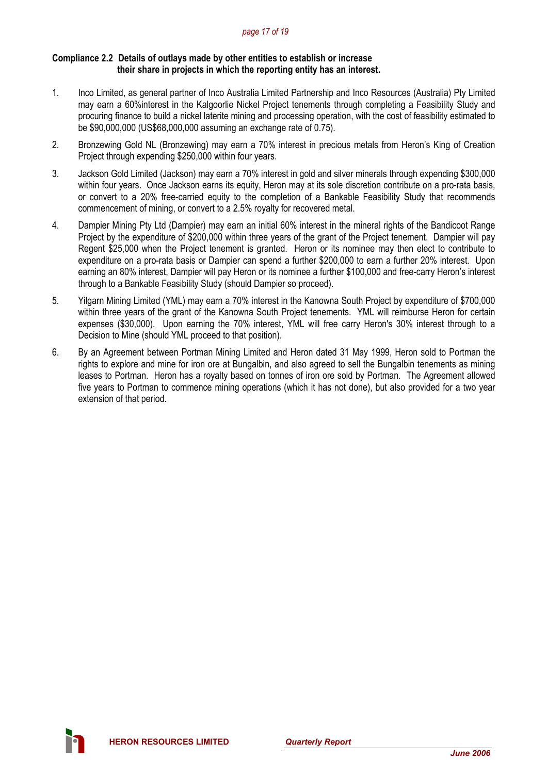#### *page 17 of 19*

#### **Compliance 2.2 Details of outlays made by other entities to establish or increase their share in projects in which the reporting entity has an interest.**

- 1. Inco Limited, as general partner of Inco Australia Limited Partnership and Inco Resources (Australia) Pty Limited may earn a 60%interest in the Kalgoorlie Nickel Project tenements through completing a Feasibility Study and procuring finance to build a nickel laterite mining and processing operation, with the cost of feasibility estimated to be \$90,000,000 (US\$68,000,000 assuming an exchange rate of 0.75).
- 2. Bronzewing Gold NL (Bronzewing) may earn a 70% interest in precious metals from Heron's King of Creation Project through expending \$250,000 within four years.
- 3. Jackson Gold Limited (Jackson) may earn a 70% interest in gold and silver minerals through expending \$300,000 within four years. Once Jackson earns its equity, Heron may at its sole discretion contribute on a pro-rata basis, or convert to a 20% free-carried equity to the completion of a Bankable Feasibility Study that recommends commencement of mining, or convert to a 2.5% royalty for recovered metal.
- 4. Dampier Mining Pty Ltd (Dampier) may earn an initial 60% interest in the mineral rights of the Bandicoot Range Project by the expenditure of \$200,000 within three years of the grant of the Project tenement. Dampier will pay Regent \$25,000 when the Project tenement is granted. Heron or its nominee may then elect to contribute to expenditure on a pro-rata basis or Dampier can spend a further \$200,000 to earn a further 20% interest. Upon earning an 80% interest, Dampier will pay Heron or its nominee a further \$100,000 and free-carry Heron's interest through to a Bankable Feasibility Study (should Dampier so proceed).
- 5. Yilgarn Mining Limited (YML) may earn a 70% interest in the Kanowna South Project by expenditure of \$700,000 within three years of the grant of the Kanowna South Project tenements. YML will reimburse Heron for certain expenses (\$30,000). Upon earning the 70% interest, YML will free carry Heron's 30% interest through to a Decision to Mine (should YML proceed to that position).
- 6. By an Agreement between Portman Mining Limited and Heron dated 31 May 1999, Heron sold to Portman the rights to explore and mine for iron ore at Bungalbin, and also agreed to sell the Bungalbin tenements as mining leases to Portman. Heron has a royalty based on tonnes of iron ore sold by Portman. The Agreement allowed five years to Portman to commence mining operations (which it has not done), but also provided for a two year extension of that period.

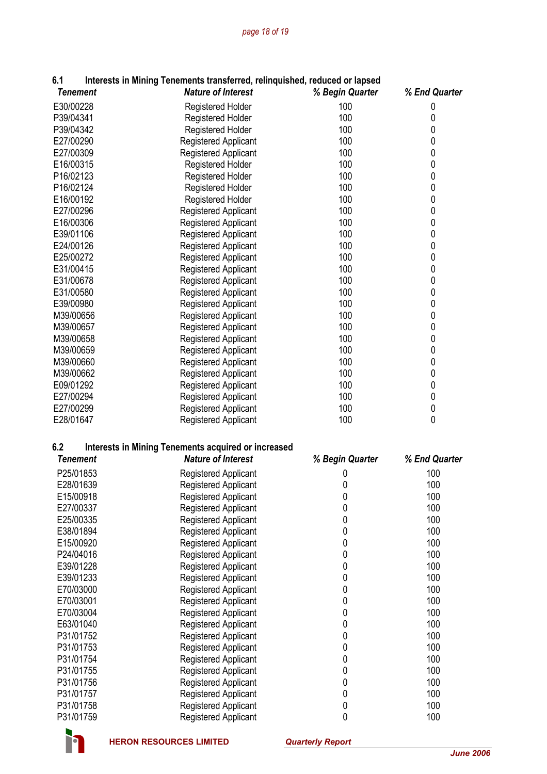| 6.1                    | Interests in Mining Tenements transferred, relinquished, reduced or lapsed |                  |                |
|------------------------|----------------------------------------------------------------------------|------------------|----------------|
| <b>Tenement</b>        | <b>Nature of Interest</b>                                                  | % Begin Quarter  | % End Quarter  |
| E30/00228              | <b>Registered Holder</b>                                                   | 100              | 0              |
| P39/04341              | <b>Registered Holder</b>                                                   | 100              | 0              |
| P39/04342              | Registered Holder                                                          | 100              | 0              |
| E27/00290              | Registered Applicant                                                       | 100              | 0              |
| E27/00309              | <b>Registered Applicant</b>                                                | 100              | 0              |
| E16/00315              | <b>Registered Holder</b>                                                   | 100              | 0              |
| P16/02123              | Registered Holder                                                          | 100              | 0              |
| P16/02124              | <b>Registered Holder</b>                                                   | 100              | $\mathbf 0$    |
| E16/00192              | <b>Registered Holder</b>                                                   | 100              | 0              |
| E27/00296              | <b>Registered Applicant</b>                                                | 100              | 0              |
| E16/00306              | <b>Registered Applicant</b>                                                | 100              | 0              |
| E39/01106              | <b>Registered Applicant</b>                                                | 100              | 0              |
| E24/00126              | Registered Applicant                                                       | 100              | 0              |
| E25/00272              |                                                                            | 100              | 0              |
| E31/00415              | <b>Registered Applicant</b>                                                | 100              | 0              |
|                        | <b>Registered Applicant</b>                                                |                  |                |
| E31/00678              | <b>Registered Applicant</b>                                                | 100<br>100       | 0<br>$\pmb{0}$ |
| E31/00580              | <b>Registered Applicant</b>                                                |                  |                |
| E39/00980              | <b>Registered Applicant</b>                                                | 100              | 0              |
| M39/00656              | <b>Registered Applicant</b>                                                | 100              | 0              |
| M39/00657              | <b>Registered Applicant</b>                                                | 100              | 0              |
| M39/00658              | <b>Registered Applicant</b>                                                | 100              | 0              |
| M39/00659              | Registered Applicant                                                       | 100              | 0              |
| M39/00660              | <b>Registered Applicant</b>                                                | 100              | 0              |
| M39/00662              | Registered Applicant                                                       | 100              | 0              |
| E09/01292              | Registered Applicant                                                       | 100              | 0              |
| E27/00294              | Registered Applicant                                                       | 100              | $\pmb{0}$      |
| E27/00299<br>E28/01647 | Registered Applicant                                                       | 100<br>100       | $\pmb{0}$<br>0 |
|                        | Registered Applicant                                                       |                  |                |
| 6.2                    | <b>Interests in Mining Tenements acquired or increased</b>                 |                  |                |
| <b>Tenement</b>        | <b>Nature of Interest</b>                                                  | % Begin Quarter  | % End Quarter  |
| P25/01853              | <b>Registered Applicant</b>                                                | 0                | 100            |
| E28/01639              | <b>Registered Applicant</b>                                                | 0                | 100            |
| E15/00918              | <b>Registered Applicant</b>                                                | $\boldsymbol{0}$ | 100            |
| E27/00337              | <b>Registered Applicant</b>                                                | $\pmb{0}$        | 100            |
| E25/00335              | <b>Registered Applicant</b>                                                | 0                | 100            |
| E38/01894              | <b>Registered Applicant</b>                                                | 0                | 100            |
| E15/00920              | <b>Registered Applicant</b>                                                | 0                | 100            |
| P24/04016              | <b>Registered Applicant</b>                                                | 0                | 100            |
| E39/01228              | Registered Applicant                                                       | 0                | 100            |
| E39/01233              | <b>Registered Applicant</b>                                                | 0                | 100            |
| E70/03000              | <b>Registered Applicant</b>                                                | 0                | 100            |
| E70/03001              | <b>Registered Applicant</b>                                                | 0                | 100            |
| E70/03004              | <b>Registered Applicant</b>                                                | 0                | 100            |
| E63/01040              | <b>Registered Applicant</b>                                                | 0                | 100            |
| P31/01752              | <b>Registered Applicant</b>                                                | 0                | 100            |
| P31/01753              | Registered Applicant                                                       | 0                | 100            |
| P31/01754              |                                                                            |                  | 100            |
|                        | Registered Applicant                                                       | 0                |                |
| P31/01755              | Registered Applicant                                                       | 0                | 100            |
| P31/01756              | Registered Applicant                                                       | 0                | 100            |
| P31/01757              | <b>Registered Applicant</b>                                                | $\pmb{0}$        | 100            |
| P31/01758<br>P31/01759 | <b>Registered Applicant</b><br>Registered Applicant                        | 0<br>$\mathbf 0$ | 100<br>100     |